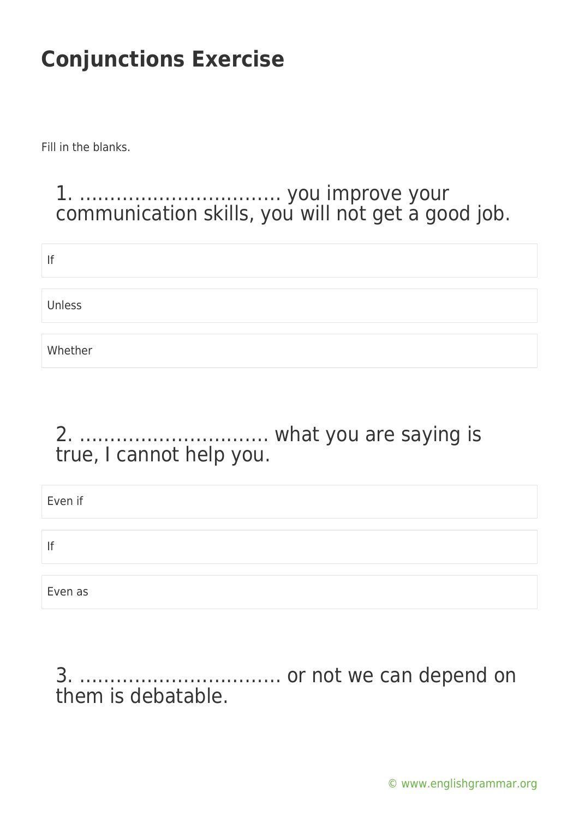Fill in the blanks.

### 1. …………………………… you improve your communication skills, you will not get a good job.

| If      |  |
|---------|--|
| Unless  |  |
|         |  |
| Whether |  |

#### 2. …………………………. what you are saying is true, I cannot help you.

| Even if |  |
|---------|--|
|         |  |
| lf      |  |
|         |  |
| Even as |  |

3. …………………………… or not we can depend on them is debatable.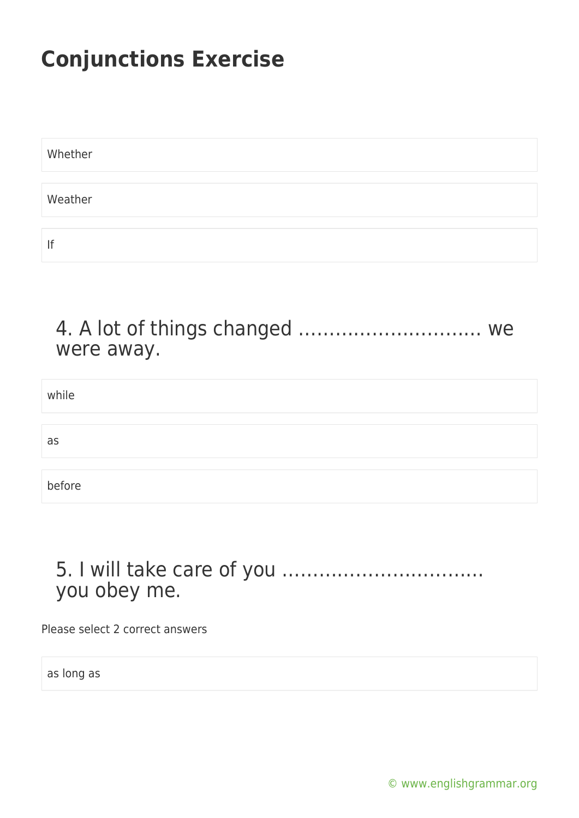| Whether |  |  |  |
|---------|--|--|--|
|         |  |  |  |
| Weather |  |  |  |
|         |  |  |  |
| If      |  |  |  |

#### 4. A lot of things changed ………………………… we were away.

while

as

before

### 5. I will take care of you …………………………… you obey me.

Please select 2 correct answers

as long as

[© www.englishgrammar.org](https://www.englishgrammar.org/)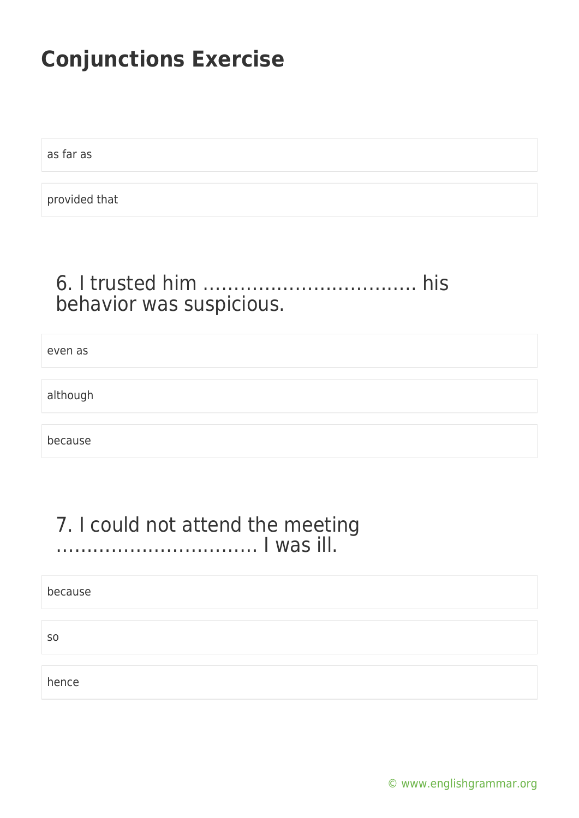as far as

provided that

## 6. I trusted him …………………………….. his behavior was suspicious.

even as

although

because

#### 7. I could not attend the meeting …………………………… I was ill.

because

so

hence

[© www.englishgrammar.org](https://www.englishgrammar.org/)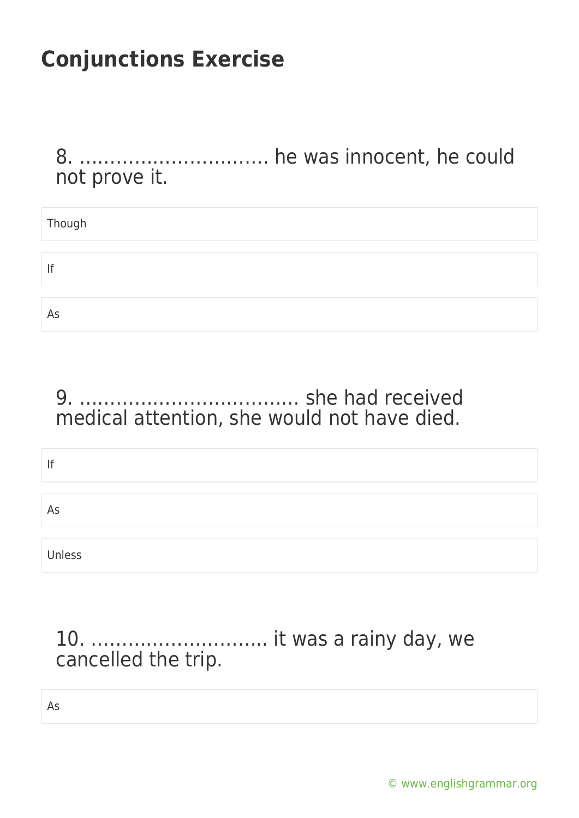8. …………………………. he was innocent, he could not prove it.

| Though |  |
|--------|--|
|        |  |
| lf     |  |
|        |  |
| As     |  |

### 9. ……………………………… she had received medical attention, she would not have died.

| If     |  |
|--------|--|
|        |  |
| As     |  |
|        |  |
| Unless |  |

## 10. ……………………….. it was a rainy day, we cancelled the trip.

As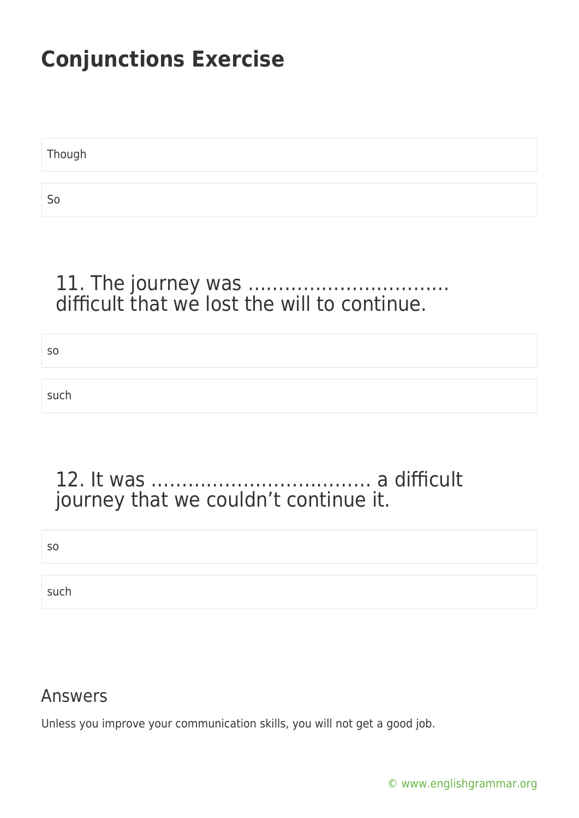Though So

#### 11. The journey was …………………………… difficult that we lost the will to continue.

so

such

### 12. It was ……………………………… a difficult journey that we couldn't continue it.

so

such

#### Answers

Unless you improve your communication skills, you will not get a good job.